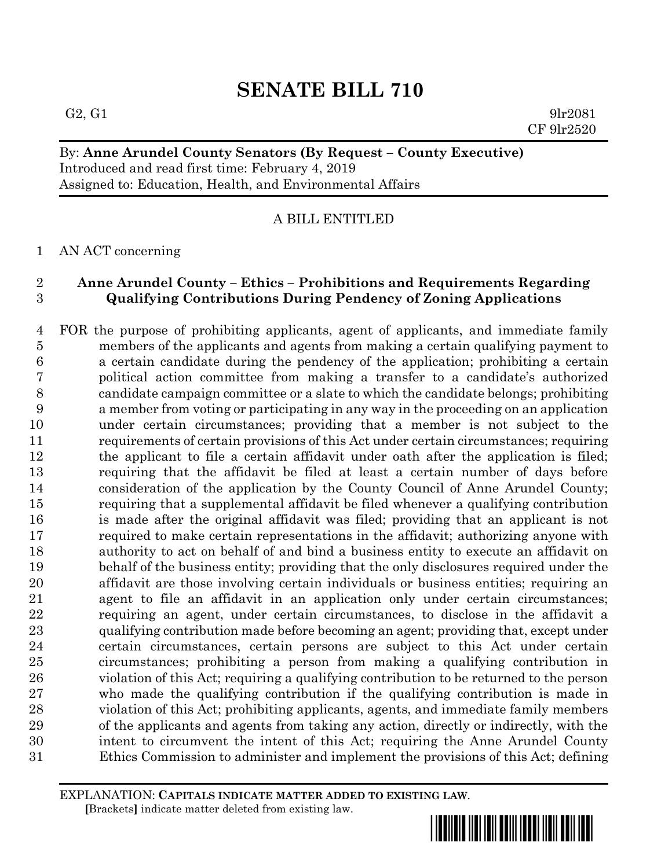# **SENATE BILL 710**

## By: **Anne Arundel County Senators (By Request – County Executive)** Introduced and read first time: February 4, 2019 Assigned to: Education, Health, and Environmental Affairs

## A BILL ENTITLED

## AN ACT concerning

## **Anne Arundel County – Ethics – Prohibitions and Requirements Regarding Qualifying Contributions During Pendency of Zoning Applications**

 FOR the purpose of prohibiting applicants, agent of applicants, and immediate family members of the applicants and agents from making a certain qualifying payment to a certain candidate during the pendency of the application; prohibiting a certain political action committee from making a transfer to a candidate's authorized candidate campaign committee or a slate to which the candidate belongs; prohibiting a member from voting or participating in any way in the proceeding on an application under certain circumstances; providing that a member is not subject to the requirements of certain provisions of this Act under certain circumstances; requiring the applicant to file a certain affidavit under oath after the application is filed; requiring that the affidavit be filed at least a certain number of days before consideration of the application by the County Council of Anne Arundel County; requiring that a supplemental affidavit be filed whenever a qualifying contribution is made after the original affidavit was filed; providing that an applicant is not required to make certain representations in the affidavit; authorizing anyone with authority to act on behalf of and bind a business entity to execute an affidavit on behalf of the business entity; providing that the only disclosures required under the affidavit are those involving certain individuals or business entities; requiring an agent to file an affidavit in an application only under certain circumstances; requiring an agent, under certain circumstances, to disclose in the affidavit a qualifying contribution made before becoming an agent; providing that, except under certain circumstances, certain persons are subject to this Act under certain circumstances; prohibiting a person from making a qualifying contribution in violation of this Act; requiring a qualifying contribution to be returned to the person who made the qualifying contribution if the qualifying contribution is made in violation of this Act; prohibiting applicants, agents, and immediate family members of the applicants and agents from taking any action, directly or indirectly, with the intent to circumvent the intent of this Act; requiring the Anne Arundel County Ethics Commission to administer and implement the provisions of this Act; defining

EXPLANATION: **CAPITALS INDICATE MATTER ADDED TO EXISTING LAW**.  **[**Brackets**]** indicate matter deleted from existing law.

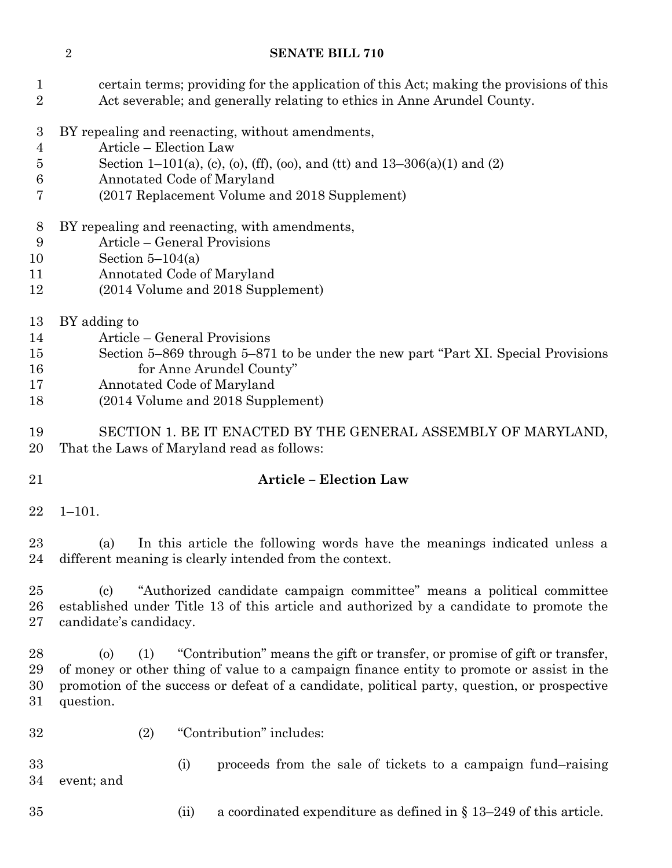## **SENATE BILL 710**

| $\mathbf{1}$<br>$\boldsymbol{2}$                | certain terms; providing for the application of this Act; making the provisions of this<br>Act severable; and generally relating to ethics in Anne Arundel County.                                                                                                                                     |  |  |  |  |
|-------------------------------------------------|--------------------------------------------------------------------------------------------------------------------------------------------------------------------------------------------------------------------------------------------------------------------------------------------------------|--|--|--|--|
| 3<br>$\overline{4}$<br>$\overline{5}$<br>6<br>7 | BY repealing and reenacting, without amendments,<br>Article - Election Law<br>Section 1–101(a), (c), (o), (ff), (oo), and (tt) and 13–306(a)(1) and (2)<br>Annotated Code of Maryland<br>(2017 Replacement Volume and 2018 Supplement)                                                                 |  |  |  |  |
| 8<br>9<br>10<br>11<br>12                        | BY repealing and reenacting, with amendments,<br>Article – General Provisions<br>Section $5-104(a)$<br>Annotated Code of Maryland<br>(2014 Volume and 2018 Supplement)                                                                                                                                 |  |  |  |  |
| 13<br>14<br>15<br>16<br>17<br>18                | BY adding to<br>Article – General Provisions<br>Section 5-869 through 5-871 to be under the new part "Part XI. Special Provisions"<br>for Anne Arundel County"<br>Annotated Code of Maryland<br>(2014 Volume and 2018 Supplement)                                                                      |  |  |  |  |
| 19<br>20                                        | SECTION 1. BE IT ENACTED BY THE GENERAL ASSEMBLY OF MARYLAND,<br>That the Laws of Maryland read as follows:                                                                                                                                                                                            |  |  |  |  |
| 21                                              | <b>Article - Election Law</b>                                                                                                                                                                                                                                                                          |  |  |  |  |
| 22                                              | $1 - 101.$                                                                                                                                                                                                                                                                                             |  |  |  |  |
| 23<br>24                                        | In this article the following words have the meanings indicated unless a<br>(a)<br>different meaning is clearly intended from the context.                                                                                                                                                             |  |  |  |  |
| 25<br>26<br>27                                  | "Authorized candidate campaign committee" means a political committee<br>(c)<br>established under Title 13 of this article and authorized by a candidate to promote the<br>candidate's candidacy.                                                                                                      |  |  |  |  |
| 28<br>29<br>30<br>31                            | "Contribution" means the gift or transfer, or promise of gift or transfer,<br>(1)<br>$\circ$<br>of money or other thing of value to a campaign finance entity to promote or assist in the<br>promotion of the success or defeat of a candidate, political party, question, or prospective<br>question. |  |  |  |  |
| 32                                              | "Contribution" includes:<br>(2)                                                                                                                                                                                                                                                                        |  |  |  |  |
| 33<br>34                                        | proceeds from the sale of tickets to a campaign fund-raising<br>(i)<br>event; and                                                                                                                                                                                                                      |  |  |  |  |
| 35                                              | a coordinated expenditure as defined in $\S$ 13–249 of this article.<br>(ii)                                                                                                                                                                                                                           |  |  |  |  |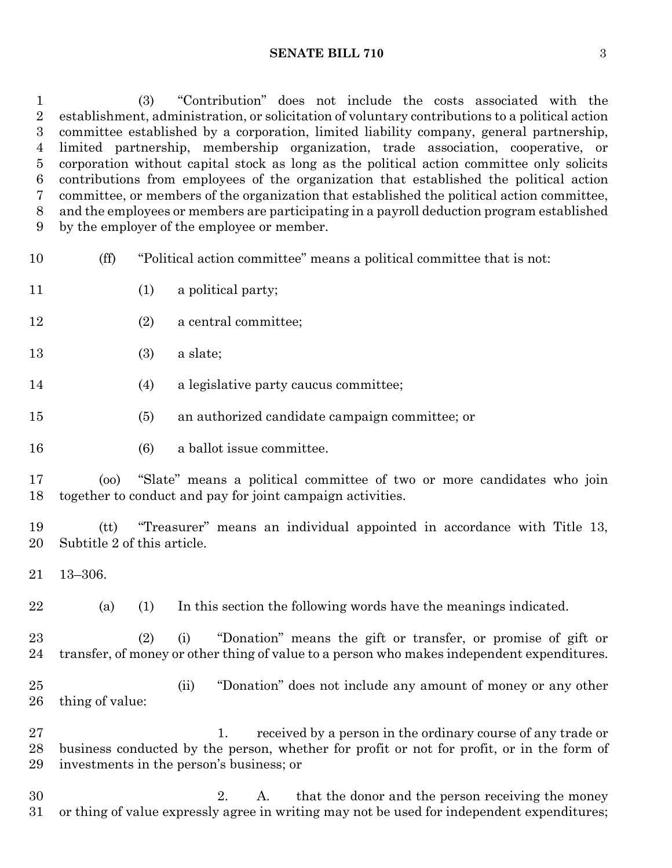(3) "Contribution" does not include the costs associated with the establishment, administration, or solicitation of voluntary contributions to a political action committee established by a corporation, limited liability company, general partnership, limited partnership, membership organization, trade association, cooperative, or corporation without capital stock as long as the political action committee only solicits contributions from employees of the organization that established the political action committee, or members of the organization that established the political action committee, and the employees or members are participating in a payroll deduction program established by the employer of the employee or member.

- (ff) "Political action committee" means a political committee that is not:
- 11 (1) a political party;
- (2) a central committee;
- (3) a slate;
- (4) a legislative party caucus committee;
- (5) an authorized candidate campaign committee; or
- 16 (6) a ballot issue committee.

 (oo) "Slate" means a political committee of two or more candidates who join together to conduct and pay for joint campaign activities.

 (tt) "Treasurer" means an individual appointed in accordance with Title 13, Subtitle 2 of this article.

13–306.

(a) (1) In this section the following words have the meanings indicated.

 (2) (i) "Donation" means the gift or transfer, or promise of gift or transfer, of money or other thing of value to a person who makes independent expenditures.

 (ii) "Donation" does not include any amount of money or any other thing of value:

27 1. received by a person in the ordinary course of any trade or business conducted by the person, whether for profit or not for profit, or in the form of investments in the person's business; or

 2. A. that the donor and the person receiving the money or thing of value expressly agree in writing may not be used for independent expenditures;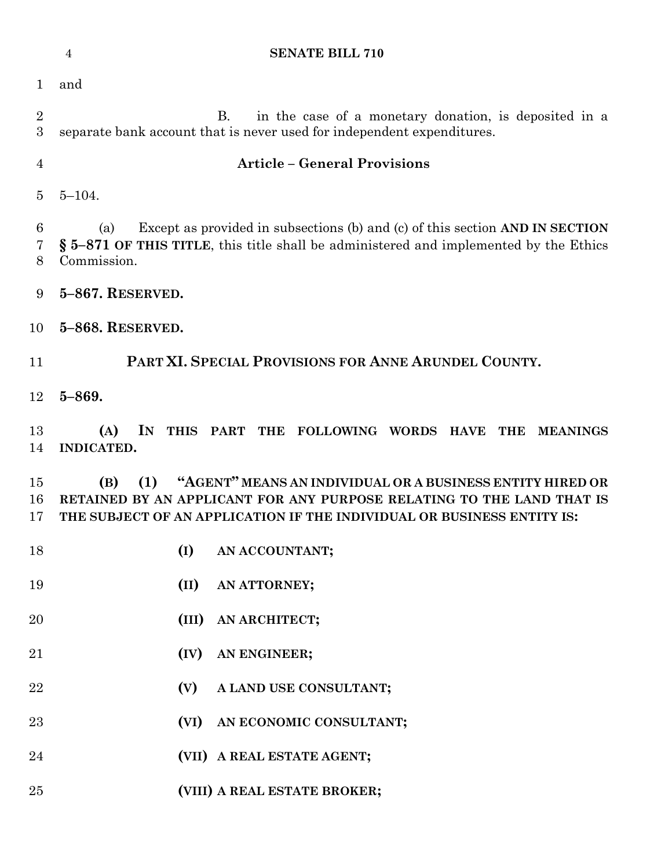|                 | <b>SENATE BILL 710</b><br>$\overline{4}$                                                                                                                                                                                   |
|-----------------|----------------------------------------------------------------------------------------------------------------------------------------------------------------------------------------------------------------------------|
| $\mathbf 1$     | and                                                                                                                                                                                                                        |
| $\sqrt{2}$<br>3 | in the case of a monetary donation, is deposited in a<br>B.<br>separate bank account that is never used for independent expenditures.                                                                                      |
| $\overline{4}$  | <b>Article - General Provisions</b>                                                                                                                                                                                        |
| $\overline{5}$  | $5 - 104.$                                                                                                                                                                                                                 |
| 6<br>7<br>8     | Except as provided in subsections (b) and (c) of this section AND IN SECTION<br>(a)<br>§ 5-871 OF THIS TITLE, this title shall be administered and implemented by the Ethics<br>Commission.                                |
| 9               | 5-867. RESERVED.                                                                                                                                                                                                           |
| 10              | 5-868. RESERVED.                                                                                                                                                                                                           |
| 11              | PART XI. SPECIAL PROVISIONS FOR ANNE ARUNDEL COUNTY.                                                                                                                                                                       |
| 12              | $5 - 869.$                                                                                                                                                                                                                 |
| 13<br>14        | IN<br>(A)<br>THIS PART THE FOLLOWING WORDS HAVE<br>THE MEANINGS<br><b>INDICATED.</b>                                                                                                                                       |
| 15<br>16<br>17  | "AGENT" MEANS AN INDIVIDUAL OR A BUSINESS ENTITY HIRED OR<br>(1)<br>(B)<br>RETAINED BY AN APPLICANT FOR ANY PURPOSE RELATING TO THE LAND THAT IS<br>THE SUBJECT OF AN APPLICATION IF THE INDIVIDUAL OR BUSINESS ENTITY IS: |
| 18              | (I)<br>AN ACCOUNTANT;                                                                                                                                                                                                      |
| 19              | (II)<br>AN ATTORNEY;                                                                                                                                                                                                       |
| $20\,$          | (III)<br>AN ARCHITECT;                                                                                                                                                                                                     |
| 21              | AN ENGINEER;<br>(IV)                                                                                                                                                                                                       |
| 22              | A LAND USE CONSULTANT;<br>(V)                                                                                                                                                                                              |
| 23              | AN ECONOMIC CONSULTANT;<br>(VI)                                                                                                                                                                                            |
| 24              | (VII) A REAL ESTATE AGENT;                                                                                                                                                                                                 |
| $25\,$          | (VIII) A REAL ESTATE BROKER;                                                                                                                                                                                               |
|                 |                                                                                                                                                                                                                            |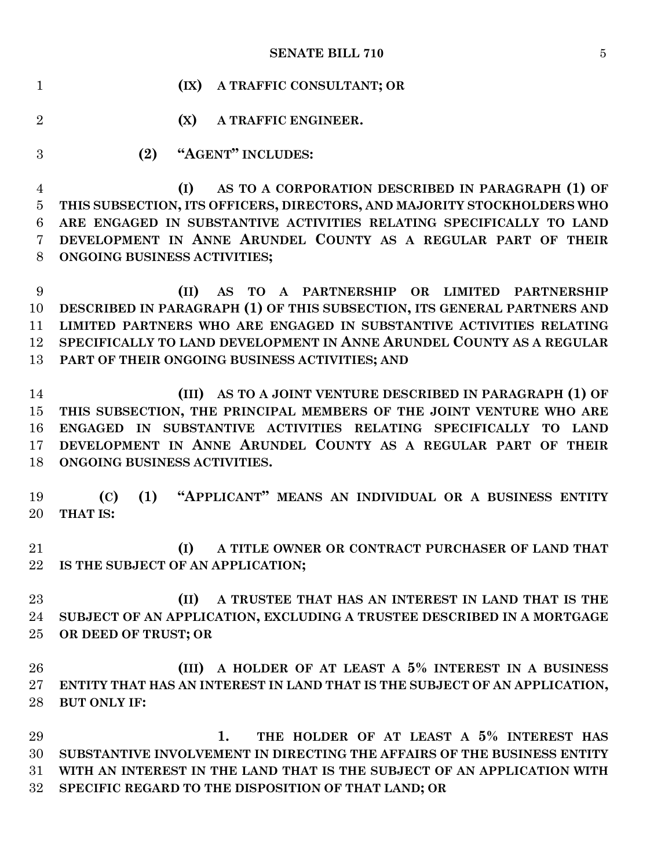| $\mathbf{1}$        | (IX)<br>A TRAFFIC CONSULTANT; OR                                                              |
|---------------------|-----------------------------------------------------------------------------------------------|
| $\overline{2}$      | (X)<br>A TRAFFIC ENGINEER.                                                                    |
| 3                   | "AGENT" INCLUDES:<br>(2)                                                                      |
| $\overline{4}$      | AS TO A CORPORATION DESCRIBED IN PARAGRAPH (1) OF<br>(I)                                      |
| $\bf 5$             | THIS SUBSECTION, ITS OFFICERS, DIRECTORS, AND MAJORITY STOCKHOLDERS WHO                       |
| 6                   | ARE ENGAGED IN SUBSTANTIVE ACTIVITIES RELATING SPECIFICALLY TO LAND                           |
| $\overline{7}$<br>8 | DEVELOPMENT IN ANNE ARUNDEL COUNTY AS A REGULAR PART OF THEIR<br>ONGOING BUSINESS ACTIVITIES; |
| 9                   | AS TO A PARTNERSHIP OR LIMITED PARTNERSHIP<br>(II)                                            |
| 10                  | DESCRIBED IN PARAGRAPH (1) OF THIS SUBSECTION, ITS GENERAL PARTNERS AND                       |
| 11                  | LIMITED PARTNERS WHO ARE ENGAGED IN SUBSTANTIVE ACTIVITIES RELATING                           |
| 12                  | SPECIFICALLY TO LAND DEVELOPMENT IN ANNE ARUNDEL COUNTY AS A REGULAR                          |
| 13                  | PART OF THEIR ONGOING BUSINESS ACTIVITIES; AND                                                |
| 14                  | AS TO A JOINT VENTURE DESCRIBED IN PARAGRAPH (1) OF<br>(III)                                  |
| 15                  | THIS SUBSECTION, THE PRINCIPAL MEMBERS OF THE JOINT VENTURE WHO ARE                           |
| 16                  | ENGAGED IN SUBSTANTIVE ACTIVITIES RELATING SPECIFICALLY TO LAND                               |
| $17\,$              | DEVELOPMENT IN ANNE ARUNDEL COUNTY AS A REGULAR PART OF THEIR                                 |
| 18                  | ONGOING BUSINESS ACTIVITIES.                                                                  |
|                     |                                                                                               |
| 19                  | (1) "APPLICANT" MEANS AN INDIVIDUAL OR A BUSINESS ENTITY<br>(C)                               |
| 20                  | THAT IS:                                                                                      |
|                     |                                                                                               |
| 21                  | A TITLE OWNER OR CONTRACT PURCHASER OF LAND THAT<br>(I)                                       |
| 22                  | IS THE SUBJECT OF AN APPLICATION;                                                             |
| 23                  | A TRUSTEE THAT HAS AN INTEREST IN LAND THAT IS THE<br>(II)                                    |
| 24                  | SUBJECT OF AN APPLICATION, EXCLUDING A TRUSTEE DESCRIBED IN A MORTGAGE                        |
| 25                  | OR DEED OF TRUST; OR                                                                          |
|                     |                                                                                               |
| 26                  | A HOLDER OF AT LEAST A 5% INTEREST IN A BUSINESS<br>(III)                                     |
| 27                  | ENTITY THAT HAS AN INTEREST IN LAND THAT IS THE SUBJECT OF AN APPLICATION,                    |
| 28                  | <b>BUT ONLY IF:</b>                                                                           |
|                     |                                                                                               |
| 29                  | THE HOLDER OF AT LEAST A 5% INTEREST HAS<br>1.                                                |
| 30                  | SUBSTANTIVE INVOLVEMENT IN DIRECTING THE AFFAIRS OF THE BUSINESS ENTITY                       |
| 31                  | WITH AN INTEREST IN THE LAND THAT IS THE SUBJECT OF AN APPLICATION WITH                       |
| 32                  | SPECIFIC REGARD TO THE DISPOSITION OF THAT LAND; OR                                           |
|                     |                                                                                               |
|                     |                                                                                               |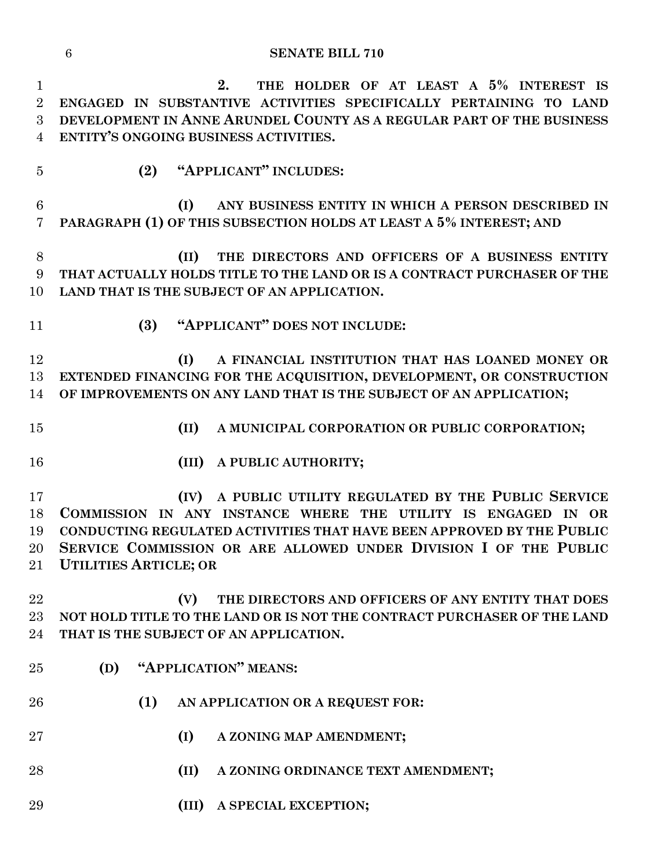### **SENATE BILL 710**

 **2. THE HOLDER OF AT LEAST A 5% INTEREST IS ENGAGED IN SUBSTANTIVE ACTIVITIES SPECIFICALLY PERTAINING TO LAND DEVELOPMENT IN ANNE ARUNDEL COUNTY AS A REGULAR PART OF THE BUSINESS ENTITY'S ONGOING BUSINESS ACTIVITIES.**

**(2) "APPLICANT" INCLUDES:**

 **(I) ANY BUSINESS ENTITY IN WHICH A PERSON DESCRIBED IN PARAGRAPH (1) OF THIS SUBSECTION HOLDS AT LEAST A 5% INTEREST; AND**

 **(II) THE DIRECTORS AND OFFICERS OF A BUSINESS ENTITY THAT ACTUALLY HOLDS TITLE TO THE LAND OR IS A CONTRACT PURCHASER OF THE LAND THAT IS THE SUBJECT OF AN APPLICATION.**

- 
- **(3) "APPLICANT" DOES NOT INCLUDE:**

 **(I) A FINANCIAL INSTITUTION THAT HAS LOANED MONEY OR EXTENDED FINANCING FOR THE ACQUISITION, DEVELOPMENT, OR CONSTRUCTION OF IMPROVEMENTS ON ANY LAND THAT IS THE SUBJECT OF AN APPLICATION;**

- **(II) A MUNICIPAL CORPORATION OR PUBLIC CORPORATION;**
- 
- **(III) A PUBLIC AUTHORITY;**

 **(IV) A PUBLIC UTILITY REGULATED BY THE PUBLIC SERVICE COMMISSION IN ANY INSTANCE WHERE THE UTILITY IS ENGAGED IN OR CONDUCTING REGULATED ACTIVITIES THAT HAVE BEEN APPROVED BY THE PUBLIC SERVICE COMMISSION OR ARE ALLOWED UNDER DIVISION I OF THE PUBLIC UTILITIES ARTICLE; OR**

 **(V) THE DIRECTORS AND OFFICERS OF ANY ENTITY THAT DOES NOT HOLD TITLE TO THE LAND OR IS NOT THE CONTRACT PURCHASER OF THE LAND THAT IS THE SUBJECT OF AN APPLICATION.**

- **(D) "APPLICATION" MEANS:**
- **(1) AN APPLICATION OR A REQUEST FOR:**
- **(I) A ZONING MAP AMENDMENT;**
- **(II) A ZONING ORDINANCE TEXT AMENDMENT;**
- **(III) A SPECIAL EXCEPTION;**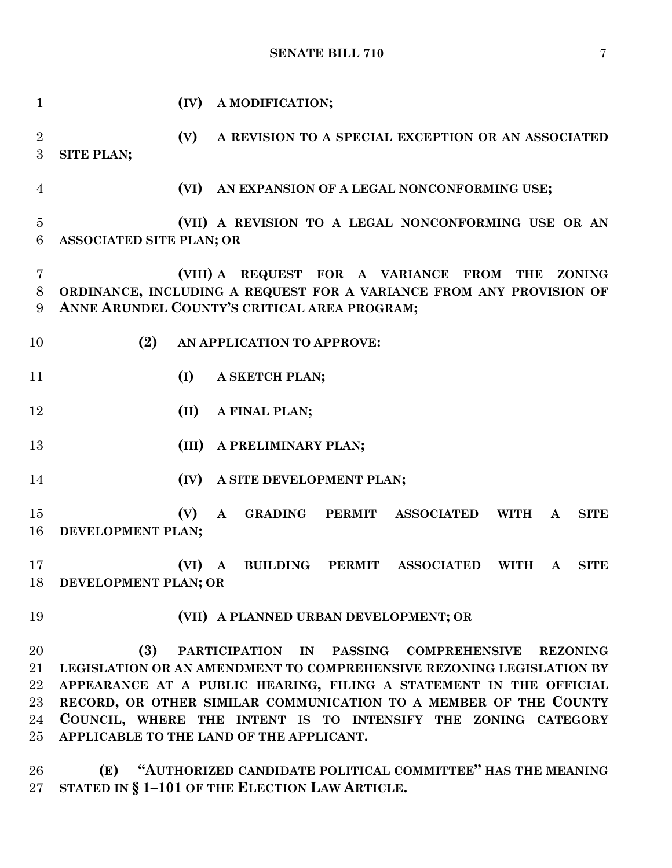| $\mathbf{1}$        |                                                                                                                     | (IV)  |              | A MODIFICATION;            |               |                                                     |             |              |               |
|---------------------|---------------------------------------------------------------------------------------------------------------------|-------|--------------|----------------------------|---------------|-----------------------------------------------------|-------------|--------------|---------------|
| $\overline{2}$<br>3 | SITE PLAN;                                                                                                          | (V)   |              |                            |               | A REVISION TO A SPECIAL EXCEPTION OR AN ASSOCIATED  |             |              |               |
| 4                   |                                                                                                                     | (VI)  |              |                            |               | AN EXPANSION OF A LEGAL NONCONFORMING USE;          |             |              |               |
| $\overline{5}$<br>6 | <b>ASSOCIATED SITE PLAN; OR</b>                                                                                     |       |              |                            |               | (VII) A REVISION TO A LEGAL NONCONFORMING USE OR AN |             |              |               |
| 7<br>8<br>9         | ORDINANCE, INCLUDING A REQUEST FOR A VARIANCE FROM ANY PROVISION OF<br>ANNE ARUNDEL COUNTY'S CRITICAL AREA PROGRAM; |       |              |                            |               | (VIII) A REQUEST FOR A VARIANCE FROM                | <b>THE</b>  |              | <b>ZONING</b> |
| 10                  | (2)                                                                                                                 |       |              | AN APPLICATION TO APPROVE: |               |                                                     |             |              |               |
| 11                  |                                                                                                                     | (I)   |              | A SKETCH PLAN;             |               |                                                     |             |              |               |
| 12                  |                                                                                                                     | (II)  |              | A FINAL PLAN;              |               |                                                     |             |              |               |
| 13                  |                                                                                                                     | (III) |              | A PRELIMINARY PLAN;        |               |                                                     |             |              |               |
| 14                  |                                                                                                                     | (IV)  |              | A SITE DEVELOPMENT PLAN;   |               |                                                     |             |              |               |
| 15<br>16            | DEVELOPMENT PLAN;                                                                                                   | (V)   | $\mathbf A$  | <b>GRADING</b>             | <b>PERMIT</b> | <b>ASSOCIATED</b>                                   | <b>WITH</b> | $\mathbf{A}$ | <b>SITE</b>   |
| 17                  | 18 DEVELOPMENT PLAN; OR                                                                                             | (VI)  | $\mathbf{A}$ | <b>BUILDING</b>            | <b>PERMIT</b> | <b>ASSOCIATED</b>                                   | <b>WITH</b> | A            | <b>SITE</b>   |
| 19                  |                                                                                                                     |       |              |                            |               | (VII) A PLANNED URBAN DEVELOPMENT; OR               |             |              |               |
| 20                  | (3)                                                                                                                 |       |              |                            |               | PARTICIPATION IN PASSING COMPREHENSIVE REZONING     |             |              |               |
| 21                  | LEGISLATION OR AN AMENDMENT TO COMPREHENSIVE REZONING LEGISLATION BY                                                |       |              |                            |               |                                                     |             |              |               |
| 22                  | APPEARANCE AT A PUBLIC HEARING, FILING A STATEMENT IN THE OFFICIAL                                                  |       |              |                            |               |                                                     |             |              |               |
| 23                  | RECORD, OR OTHER SIMILAR COMMUNICATION TO A MEMBER OF THE COUNTY                                                    |       |              |                            |               |                                                     |             |              |               |
| 24                  | COUNCIL, WHERE THE INTENT IS TO INTENSIFY THE ZONING CATEGORY                                                       |       |              |                            |               |                                                     |             |              |               |
| $25\,$              | APPLICABLE TO THE LAND OF THE APPLICANT.                                                                            |       |              |                            |               |                                                     |             |              |               |

 **(E) "AUTHORIZED CANDIDATE POLITICAL COMMITTEE" HAS THE MEANING STATED IN § 1–101 OF THE ELECTION LAW ARTICLE.**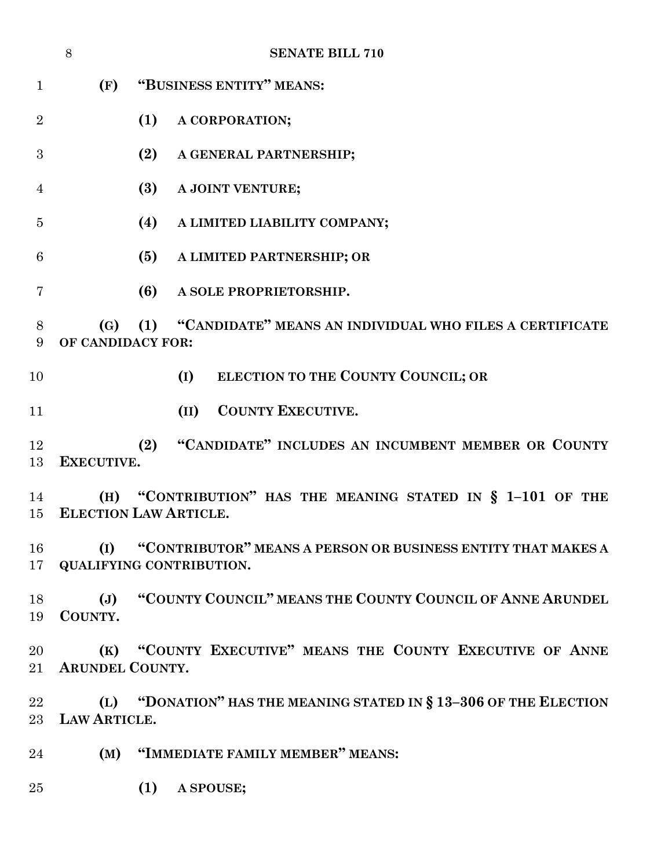|                        | 8                         | <b>SENATE BILL 710</b>                                                                   |
|------------------------|---------------------------|------------------------------------------------------------------------------------------|
| $\mathbf{1}$           | (F)                       | "BUSINESS ENTITY" MEANS:                                                                 |
| $\overline{2}$         |                           | (1)<br>A CORPORATION;                                                                    |
| 3                      |                           | (2)<br>A GENERAL PARTNERSHIP;                                                            |
| 4                      |                           | (3)<br>A JOINT VENTURE;                                                                  |
| $\overline{5}$         |                           | (4)<br>A LIMITED LIABILITY COMPANY;                                                      |
| 6                      |                           | (5)<br>A LIMITED PARTNERSHIP; OR                                                         |
| 7                      |                           | (6)<br>A SOLE PROPRIETORSHIP.                                                            |
| 8<br>9                 | (G)<br>OF CANDIDACY FOR:  | "CANDIDATE" MEANS AN INDIVIDUAL WHO FILES A CERTIFICATE<br>(1)                           |
| 10                     |                           | ELECTION TO THE COUNTY COUNCIL; OR<br>(I)                                                |
| 11                     |                           | <b>COUNTY EXECUTIVE.</b><br>(II)                                                         |
| 12<br>13               | EXECUTIVE.                | "CANDIDATE" INCLUDES AN INCUMBENT MEMBER OR COUNTY<br>(2)                                |
| 14<br>15 <sup>15</sup> | (H)                       | "CONTRIBUTION" HAS THE MEANING STATED IN § 1-101 OF THE<br><b>ELECTION LAW ARTICLE.</b>  |
| 16<br>17               | (I)                       | "CONTRIBUTOR" MEANS A PERSON OR BUSINESS ENTITY THAT MAKES A<br>QUALIFYING CONTRIBUTION. |
| 18<br>19               | $(\mathbf{J})$<br>COUNTY. | "COUNTY COUNCIL" MEANS THE COUNTY COUNCIL OF ANNE ARUNDEL                                |
| 20<br>$21\,$           | <b>ARUNDEL COUNTY.</b>    | (K) "COUNTY EXECUTIVE" MEANS THE COUNTY EXECUTIVE OF ANNE                                |
| $22\,$<br>$23\,$       | LAW ARTICLE.              | (L) "DONATION" HAS THE MEANING STATED IN § 13-306 OF THE ELECTION                        |
| 24                     | (M)                       | "IMMEDIATE FAMILY MEMBER" MEANS:                                                         |
| 25                     |                           | (1)<br>A SPOUSE;                                                                         |
|                        |                           |                                                                                          |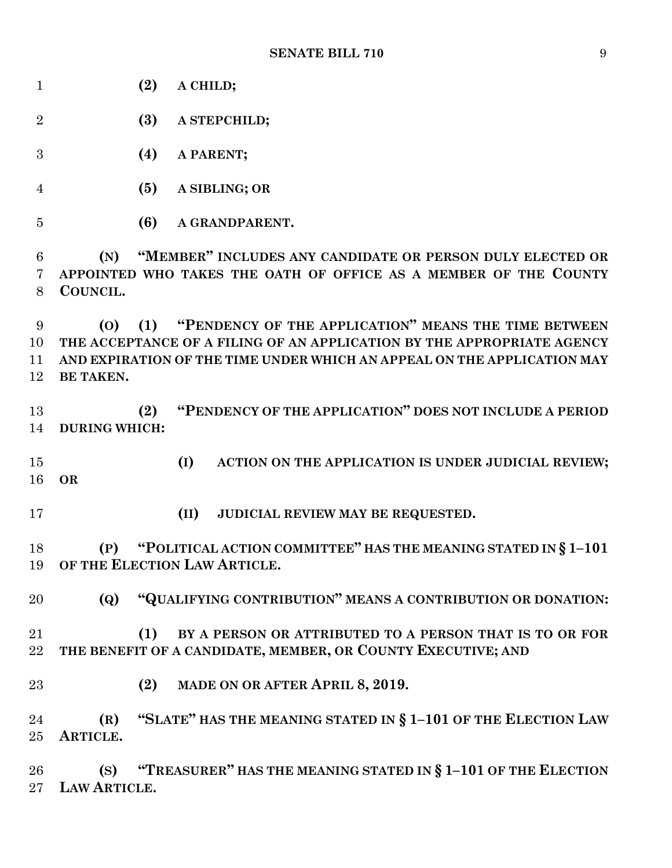| $\mathbf{1}$   | (2)<br>A CHILD;                                                         |
|----------------|-------------------------------------------------------------------------|
| $\overline{2}$ | (3)<br>A STEPCHILD;                                                     |
| 3              | (4)<br>A PARENT;                                                        |
| $\overline{4}$ | (5)<br>A SIBLING; OR                                                    |
| $\bf 5$        | (6)<br>A GRANDPARENT.                                                   |
| 6              | "MEMBER" INCLUDES ANY CANDIDATE OR PERSON DULY ELECTED OR<br>(N)        |
| 7              | APPOINTED WHO TAKES THE OATH OF OFFICE AS A MEMBER OF THE COUNTY        |
| 8              | COUNCIL.                                                                |
| 9              | "PENDENCY OF THE APPLICATION" MEANS THE TIME BETWEEN<br>(1)<br>(0)      |
| 10             | THE ACCEPTANCE OF A FILING OF AN APPLICATION BY THE APPROPRIATE AGENCY  |
| 11             | AND EXPIRATION OF THE TIME UNDER WHICH AN APPEAL ON THE APPLICATION MAY |
| 12             | BE TAKEN.                                                               |
|                |                                                                         |
| 13             | "PENDENCY OF THE APPLICATION" DOES NOT INCLUDE A PERIOD<br>(2)          |
| 14             | <b>DURING WHICH:</b>                                                    |
|                |                                                                         |
| 15             | (I)<br>ACTION ON THE APPLICATION IS UNDER JUDICIAL REVIEW;              |
| 16             | <b>OR</b>                                                               |
|                |                                                                         |
| 17             | (II)<br>JUDICIAL REVIEW MAY BE REQUESTED.                               |
|                |                                                                         |
| 18             | "POLITICAL ACTION COMMITTEE" HAS THE MEANING STATED IN § 1-101<br>(P)   |
| 19             | OF THE ELECTION LAW ARTICLE.                                            |
|                |                                                                         |
| 20             | "QUALIFYING CONTRIBUTION" MEANS A CONTRIBUTION OR DONATION:<br>(Q)      |
|                |                                                                         |
| 21             | BY A PERSON OR ATTRIBUTED TO A PERSON THAT IS TO OR FOR<br>(1)          |
| 22             | THE BENEFIT OF A CANDIDATE, MEMBER, OR COUNTY EXECUTIVE; AND            |
|                |                                                                         |
| $23\,$         | MADE ON OR AFTER APRIL 8, 2019.<br>(2)                                  |
|                |                                                                         |
| 24             | "SLATE" HAS THE MEANING STATED IN § 1-101 OF THE ELECTION LAW<br>(R)    |
| 25             | ARTICLE.                                                                |
|                |                                                                         |
| 26             | "TREASURER" HAS THE MEANING STATED IN § 1-101 OF THE ELECTION<br>(S)    |
| $27\,$         | LAW ARTICLE.                                                            |
|                |                                                                         |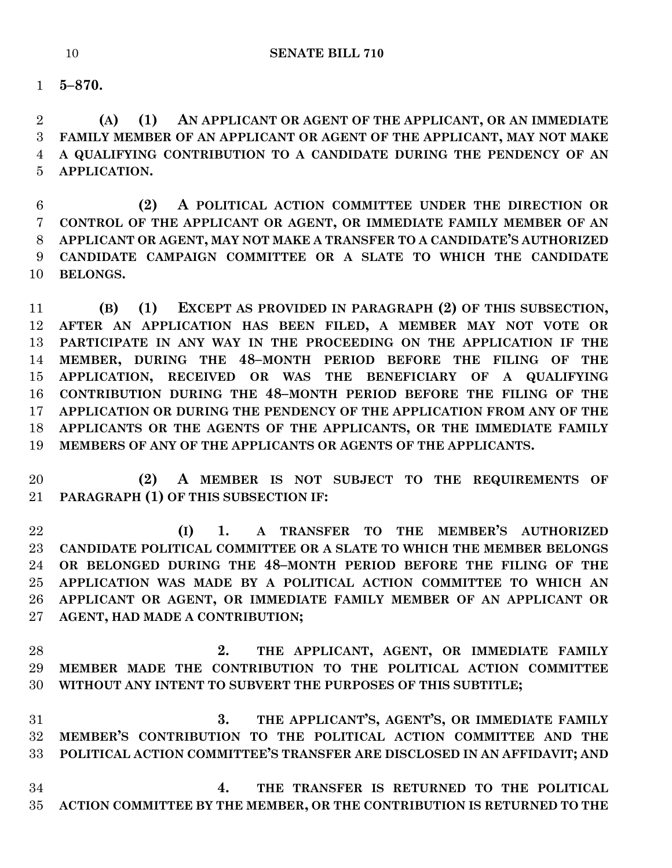**5–870.**

 **(A) (1) AN APPLICANT OR AGENT OF THE APPLICANT, OR AN IMMEDIATE FAMILY MEMBER OF AN APPLICANT OR AGENT OF THE APPLICANT, MAY NOT MAKE A QUALIFYING CONTRIBUTION TO A CANDIDATE DURING THE PENDENCY OF AN APPLICATION.**

 **(2) A POLITICAL ACTION COMMITTEE UNDER THE DIRECTION OR CONTROL OF THE APPLICANT OR AGENT, OR IMMEDIATE FAMILY MEMBER OF AN APPLICANT OR AGENT, MAY NOT MAKE A TRANSFER TO A CANDIDATE'S AUTHORIZED CANDIDATE CAMPAIGN COMMITTEE OR A SLATE TO WHICH THE CANDIDATE BELONGS.**

 **(B) (1) EXCEPT AS PROVIDED IN PARAGRAPH (2) OF THIS SUBSECTION, AFTER AN APPLICATION HAS BEEN FILED, A MEMBER MAY NOT VOTE OR PARTICIPATE IN ANY WAY IN THE PROCEEDING ON THE APPLICATION IF THE MEMBER, DURING THE 48–MONTH PERIOD BEFORE THE FILING OF THE APPLICATION, RECEIVED OR WAS THE BENEFICIARY OF A QUALIFYING CONTRIBUTION DURING THE 48–MONTH PERIOD BEFORE THE FILING OF THE APPLICATION OR DURING THE PENDENCY OF THE APPLICATION FROM ANY OF THE APPLICANTS OR THE AGENTS OF THE APPLICANTS, OR THE IMMEDIATE FAMILY MEMBERS OF ANY OF THE APPLICANTS OR AGENTS OF THE APPLICANTS.**

 **(2) A MEMBER IS NOT SUBJECT TO THE REQUIREMENTS OF PARAGRAPH (1) OF THIS SUBSECTION IF:**

 **(I) 1. A TRANSFER TO THE MEMBER'S AUTHORIZED CANDIDATE POLITICAL COMMITTEE OR A SLATE TO WHICH THE MEMBER BELONGS OR BELONGED DURING THE 48–MONTH PERIOD BEFORE THE FILING OF THE APPLICATION WAS MADE BY A POLITICAL ACTION COMMITTEE TO WHICH AN APPLICANT OR AGENT, OR IMMEDIATE FAMILY MEMBER OF AN APPLICANT OR AGENT, HAD MADE A CONTRIBUTION;**

 **2. THE APPLICANT, AGENT, OR IMMEDIATE FAMILY MEMBER MADE THE CONTRIBUTION TO THE POLITICAL ACTION COMMITTEE WITHOUT ANY INTENT TO SUBVERT THE PURPOSES OF THIS SUBTITLE;**

 **3. THE APPLICANT'S, AGENT'S, OR IMMEDIATE FAMILY MEMBER'S CONTRIBUTION TO THE POLITICAL ACTION COMMITTEE AND THE POLITICAL ACTION COMMITTEE'S TRANSFER ARE DISCLOSED IN AN AFFIDAVIT; AND**

 **4. THE TRANSFER IS RETURNED TO THE POLITICAL ACTION COMMITTEE BY THE MEMBER, OR THE CONTRIBUTION IS RETURNED TO THE**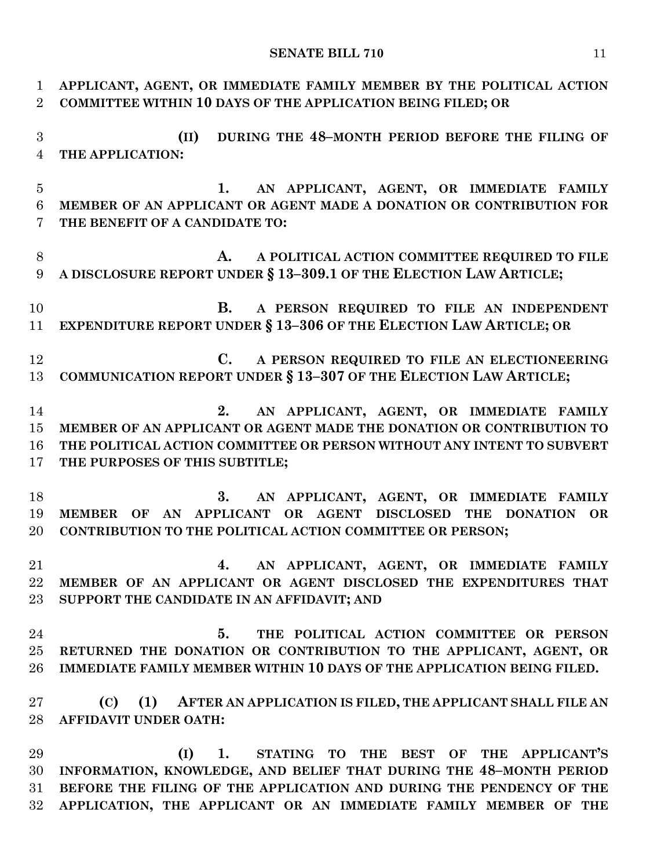**APPLICANT, AGENT, OR IMMEDIATE FAMILY MEMBER BY THE POLITICAL ACTION COMMITTEE WITHIN 10 DAYS OF THE APPLICATION BEING FILED; OR (II) DURING THE 48–MONTH PERIOD BEFORE THE FILING OF THE APPLICATION: 1. AN APPLICANT, AGENT, OR IMMEDIATE FAMILY MEMBER OF AN APPLICANT OR AGENT MADE A DONATION OR CONTRIBUTION FOR THE BENEFIT OF A CANDIDATE TO: A. A POLITICAL ACTION COMMITTEE REQUIRED TO FILE A DISCLOSURE REPORT UNDER § 13–309.1 OF THE ELECTION LAW ARTICLE; B. A PERSON REQUIRED TO FILE AN INDEPENDENT EXPENDITURE REPORT UNDER § 13–306 OF THE ELECTION LAW ARTICLE; OR C. A PERSON REQUIRED TO FILE AN ELECTIONEERING COMMUNICATION REPORT UNDER § 13–307 OF THE ELECTION LAW ARTICLE; 2. AN APPLICANT, AGENT, OR IMMEDIATE FAMILY MEMBER OF AN APPLICANT OR AGENT MADE THE DONATION OR CONTRIBUTION TO THE POLITICAL ACTION COMMITTEE OR PERSON WITHOUT ANY INTENT TO SUBVERT THE PURPOSES OF THIS SUBTITLE; 3. AN APPLICANT, AGENT, OR IMMEDIATE FAMILY MEMBER OF AN APPLICANT OR AGENT DISCLOSED THE DONATION OR CONTRIBUTION TO THE POLITICAL ACTION COMMITTEE OR PERSON; 4. AN APPLICANT, AGENT, OR IMMEDIATE FAMILY MEMBER OF AN APPLICANT OR AGENT DISCLOSED THE EXPENDITURES THAT SUPPORT THE CANDIDATE IN AN AFFIDAVIT; AND 5. THE POLITICAL ACTION COMMITTEE OR PERSON RETURNED THE DONATION OR CONTRIBUTION TO THE APPLICANT, AGENT, OR IMMEDIATE FAMILY MEMBER WITHIN 10 DAYS OF THE APPLICATION BEING FILED. (C) (1) AFTER AN APPLICATION IS FILED, THE APPLICANT SHALL FILE AN AFFIDAVIT UNDER OATH: (I) 1. STATING TO THE BEST OF THE APPLICANT'S INFORMATION, KNOWLEDGE, AND BELIEF THAT DURING THE 48–MONTH PERIOD BEFORE THE FILING OF THE APPLICATION AND DURING THE PENDENCY OF THE APPLICATION, THE APPLICANT OR AN IMMEDIATE FAMILY MEMBER OF THE**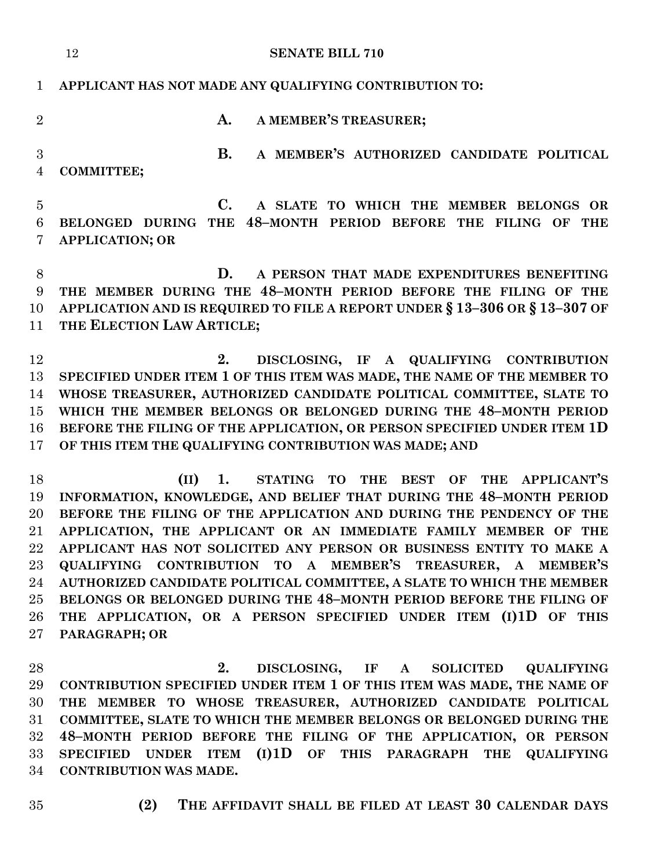|                                | 12<br><b>SENATE BILL 710</b>                                                                                                           |
|--------------------------------|----------------------------------------------------------------------------------------------------------------------------------------|
| $\mathbf{1}$                   | APPLICANT HAS NOT MADE ANY QUALIFYING CONTRIBUTION TO:                                                                                 |
| $\overline{2}$                 | A MEMBER'S TREASURER;<br>A.                                                                                                            |
| $\mathbf{3}$<br>$\overline{4}$ | <b>B.</b><br>A MEMBER'S AUTHORIZED CANDIDATE POLITICAL<br><b>COMMITTEE;</b>                                                            |
| $\overline{5}$<br>6<br>7       | C.<br>A SLATE TO WHICH THE MEMBER BELONGS OR<br>BELONGED DURING THE 48-MONTH PERIOD BEFORE THE FILING OF THE<br><b>APPLICATION; OR</b> |
| 8                              | D.<br>A PERSON THAT MADE EXPENDITURES BENEFITING                                                                                       |
| 9                              | THE MEMBER DURING THE 48-MONTH PERIOD BEFORE THE FILING OF THE                                                                         |
| 10                             | APPLICATION AND IS REQUIRED TO FILE A REPORT UNDER § 13-306 OR § 13-307 OF                                                             |
| 11                             | THE ELECTION LAW ARTICLE;                                                                                                              |
|                                |                                                                                                                                        |
| 12                             | 2.<br>DISCLOSING, IF A QUALIFYING CONTRIBUTION                                                                                         |
| 13                             | SPECIFIED UNDER ITEM 1 OF THIS ITEM WAS MADE, THE NAME OF THE MEMBER TO                                                                |
| 14                             | WHOSE TREASURER, AUTHORIZED CANDIDATE POLITICAL COMMITTEE, SLATE TO                                                                    |
| 15                             | WHICH THE MEMBER BELONGS OR BELONGED DURING THE 48-MONTH PERIOD                                                                        |
| 16                             | BEFORE THE FILING OF THE APPLICATION, OR PERSON SPECIFIED UNDER ITEM 1D                                                                |
| 17                             | OF THIS ITEM THE QUALIFYING CONTRIBUTION WAS MADE; AND                                                                                 |
|                                |                                                                                                                                        |
| 18                             | STATING TO THE BEST OF<br>THE APPLICANT'S<br>(II)<br>1.                                                                                |
| 19                             | INFORMATION, KNOWLEDGE, AND BELIEF THAT DURING THE 48-MONTH PERIOD                                                                     |
| 20                             | BEFORE THE FILING OF THE APPLICATION AND DURING THE PENDENCY OF THE                                                                    |
| $21\,$                         | APPLICATION, THE APPLICANT OR AN IMMEDIATE FAMILY MEMBER OF THE                                                                        |
| $22\,$                         | APPLICANT HAS NOT SOLICITED ANY PERSON OR BUSINESS ENTITY TO MAKE A                                                                    |
| 23                             | QUALIFYING CONTRIBUTION TO A MEMBER'S TREASURER, A MEMBER'S                                                                            |
| 24                             | AUTHORIZED CANDIDATE POLITICAL COMMITTEE, A SLATE TO WHICH THE MEMBER                                                                  |
| $25\,$                         | BELONGS OR BELONGED DURING THE 48-MONTH PERIOD BEFORE THE FILING OF                                                                    |
| 26                             | THE APPLICATION, OR A PERSON SPECIFIED UNDER ITEM (I)1D OF THIS                                                                        |
| 27                             | PARAGRAPH; OR                                                                                                                          |

 **2. DISCLOSING, IF A SOLICITED QUALIFYING CONTRIBUTION SPECIFIED UNDER ITEM 1 OF THIS ITEM WAS MADE, THE NAME OF THE MEMBER TO WHOSE TREASURER, AUTHORIZED CANDIDATE POLITICAL COMMITTEE, SLATE TO WHICH THE MEMBER BELONGS OR BELONGED DURING THE 48–MONTH PERIOD BEFORE THE FILING OF THE APPLICATION, OR PERSON SPECIFIED UNDER ITEM (I)1D OF THIS PARAGRAPH THE QUALIFYING CONTRIBUTION WAS MADE.**

- 
- **(2) THE AFFIDAVIT SHALL BE FILED AT LEAST 30 CALENDAR DAYS**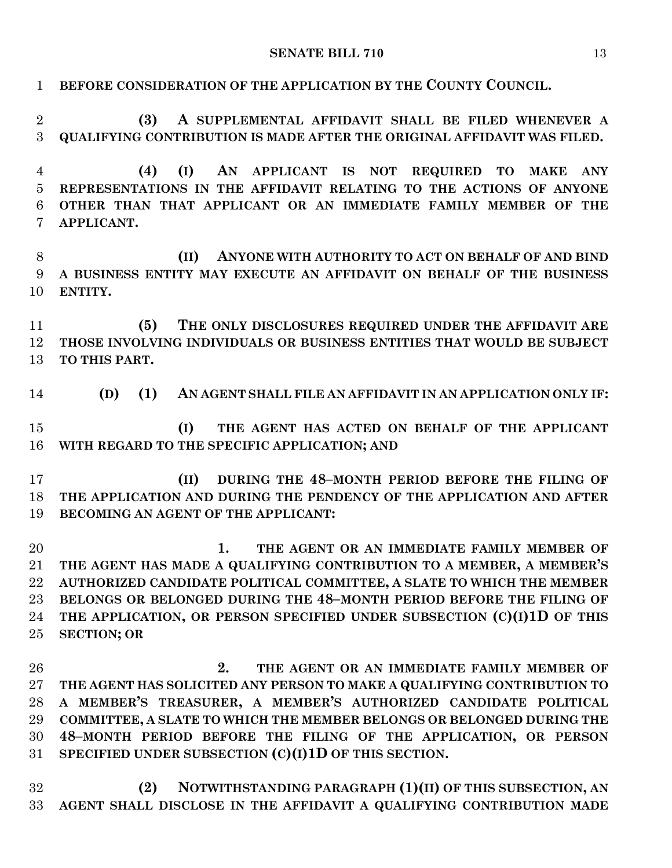| $\mathbf{1}$     | BEFORE CONSIDERATION OF THE APPLICATION BY THE COUNTY COUNCIL.                  |
|------------------|---------------------------------------------------------------------------------|
| $\boldsymbol{2}$ | A SUPPLEMENTAL AFFIDAVIT SHALL BE FILED WHENEVER A<br>(3)                       |
| 3                | QUALIFYING CONTRIBUTION IS MADE AFTER THE ORIGINAL AFFIDAVIT WAS FILED.         |
| 4                | AN APPLICANT IS NOT REQUIRED<br>(4)<br>(I)<br>TO<br><b>ANY</b><br><b>MAKE</b>   |
| $\overline{5}$   | REPRESENTATIONS IN THE AFFIDAVIT RELATING TO THE ACTIONS OF ANYONE              |
| 6<br>7           | OTHER THAN THAT APPLICANT OR AN IMMEDIATE FAMILY MEMBER OF THE<br>APPLICANT.    |
| 8                | ANYONE WITH AUTHORITY TO ACT ON BEHALF OF AND BIND<br>(II)                      |
| 9<br>10          | A BUSINESS ENTITY MAY EXECUTE AN AFFIDAVIT ON BEHALF OF THE BUSINESS<br>ENTITY. |
| 11               | THE ONLY DISCLOSURES REQUIRED UNDER THE AFFIDAVIT ARE<br>(5)                    |
| 12               | THOSE INVOLVING INDIVIDUALS OR BUSINESS ENTITIES THAT WOULD BE SUBJECT          |
| 13               | TO THIS PART.                                                                   |
| 14               | (1)<br>AN AGENT SHALL FILE AN AFFIDAVIT IN AN APPLICATION ONLY IF:<br>(D)       |
| 15               | THE AGENT HAS ACTED ON BEHALF OF THE APPLICANT<br>(I)                           |
| 16               | WITH REGARD TO THE SPECIFIC APPLICATION; AND                                    |
| 17               | DURING THE 48-MONTH PERIOD BEFORE THE FILING OF<br>(II)                         |
| 18               | THE APPLICATION AND DURING THE PENDENCY OF THE APPLICATION AND AFTER            |
| 19               | BECOMING AN AGENT OF THE APPLICANT:                                             |
| 20               | 1.<br>THE AGENT OR AN IMMEDIATE FAMILY MEMBER OF                                |
| 21               | THE AGENT HAS MADE A QUALIFYING CONTRIBUTION TO A MEMBER, A MEMBER'S            |
| $22\,$           | AUTHORIZED CANDIDATE POLITICAL COMMITTEE, A SLATE TO WHICH THE MEMBER           |
| 23               | BELONGS OR BELONGED DURING THE 48-MONTH PERIOD BEFORE THE FILING OF             |
| 24               | THE APPLICATION, OR PERSON SPECIFIED UNDER SUBSECTION (C)(I)1D OF THIS          |
| $25\,$           | <b>SECTION; OR</b>                                                              |
| 26               | 2.<br>THE AGENT OR AN IMMEDIATE FAMILY MEMBER OF                                |
| 27               | THE AGENT HAS SOLICITED ANY PERSON TO MAKE A QUALIFYING CONTRIBUTION TO         |
| 28               | A MEMBER'S TREASURER, A MEMBER'S AUTHORIZED CANDIDATE POLITICAL                 |
| 29               | COMMITTEE, A SLATE TO WHICH THE MEMBER BELONGS OR BELONGED DURING THE           |
| 30               | 48-MONTH PERIOD BEFORE THE FILING OF THE APPLICATION, OR PERSON                 |
| 31               | SPECIFIED UNDER SUBSECTION (C)(I)1D OF THIS SECTION.                            |
|                  |                                                                                 |

 **(2) NOTWITHSTANDING PARAGRAPH (1)(II) OF THIS SUBSECTION, AN AGENT SHALL DISCLOSE IN THE AFFIDAVIT A QUALIFYING CONTRIBUTION MADE**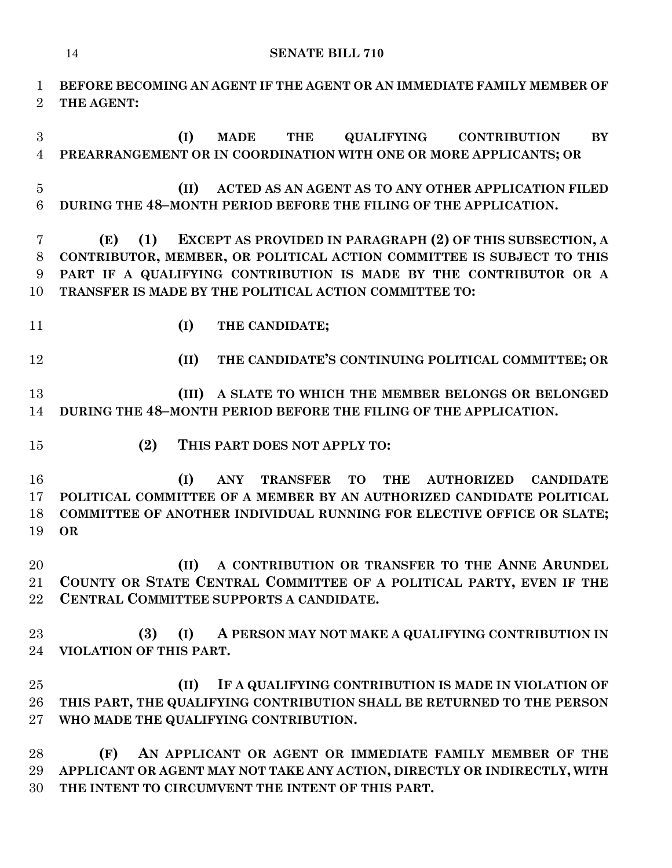**BEFORE BECOMING AN AGENT IF THE AGENT OR AN IMMEDIATE FAMILY MEMBER OF THE AGENT: (I) MADE THE QUALIFYING CONTRIBUTION BY PREARRANGEMENT OR IN COORDINATION WITH ONE OR MORE APPLICANTS; OR**

 **(II) ACTED AS AN AGENT AS TO ANY OTHER APPLICATION FILED DURING THE 48–MONTH PERIOD BEFORE THE FILING OF THE APPLICATION.**

 **(E) (1) EXCEPT AS PROVIDED IN PARAGRAPH (2) OF THIS SUBSECTION, A CONTRIBUTOR, MEMBER, OR POLITICAL ACTION COMMITTEE IS SUBJECT TO THIS PART IF A QUALIFYING CONTRIBUTION IS MADE BY THE CONTRIBUTOR OR A TRANSFER IS MADE BY THE POLITICAL ACTION COMMITTEE TO:**

**(I) THE CANDIDATE;**

**(II) THE CANDIDATE'S CONTINUING POLITICAL COMMITTEE; OR**

 **(III) A SLATE TO WHICH THE MEMBER BELONGS OR BELONGED DURING THE 48–MONTH PERIOD BEFORE THE FILING OF THE APPLICATION.**

**(2) THIS PART DOES NOT APPLY TO:**

 **(I) ANY TRANSFER TO THE AUTHORIZED CANDIDATE POLITICAL COMMITTEE OF A MEMBER BY AN AUTHORIZED CANDIDATE POLITICAL COMMITTEE OF ANOTHER INDIVIDUAL RUNNING FOR ELECTIVE OFFICE OR SLATE; OR**

 **(II) A CONTRIBUTION OR TRANSFER TO THE ANNE ARUNDEL COUNTY OR STATE CENTRAL COMMITTEE OF A POLITICAL PARTY, EVEN IF THE CENTRAL COMMITTEE SUPPORTS A CANDIDATE.**

 **(3) (I) A PERSON MAY NOT MAKE A QUALIFYING CONTRIBUTION IN VIOLATION OF THIS PART.**

 **(II) IF A QUALIFYING CONTRIBUTION IS MADE IN VIOLATION OF THIS PART, THE QUALIFYING CONTRIBUTION SHALL BE RETURNED TO THE PERSON WHO MADE THE QUALIFYING CONTRIBUTION.**

 **(F) AN APPLICANT OR AGENT OR IMMEDIATE FAMILY MEMBER OF THE APPLICANT OR AGENT MAY NOT TAKE ANY ACTION, DIRECTLY OR INDIRECTLY, WITH THE INTENT TO CIRCUMVENT THE INTENT OF THIS PART.**